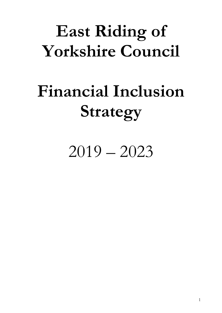# East Riding of Yorkshire Council

# Financial Inclusion Strategy

2019 – 2023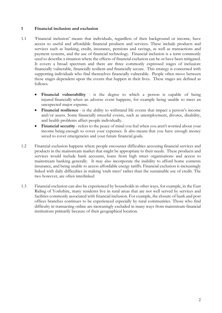# 1 Financial inclusion and exclusion

- 1.1 'Financial inclusion' means that individuals, regardless of their background or income, have access to useful and affordable financial products and services. These include products and services such as banking, credit, insurance, pensions and savings, as well as transactions and payment systems, and the use of financial technology. Financial inclusion is a term commonly used to describe a situation where the effects of financial exclusion can be or have been mitigated. It covers a broad spectrum and there are three commonly expressed stages of inclusion: financially vulnerable, financially resilient and financially secure. This strategy is concerned with supporting individuals who find themselves financially vulnerable. People often move between these stages dependent upon the events that happen in their lives. These stages are defined as follows:
	- Financial vulnerability is the degree to which a person is capable of being injured financially when an adverse event happens, for example being unable to meet an unexpected major expense.
	- Financial resilience is the ability to withstand life events that impact a person's income and/or assets. Some financially stressful events, such as unemployment, divorce, disability, and health problems affect people individually.
	- Financial security refers to the peace of mind you feel when you aren't worried about your income being enough to cover your expenses. It also means that you have enough money saved to cover emergencies and your future financial goals.
- 1.2 Financial exclusion happens where people encounter difficulties accessing financial services and products in the mainstream market that might be appropriate to their needs. These products and services would include bank accounts, loans from high street organisations and access to mainstream banking generally. It may also incorporate the inability to afford home contents insurance, and being unable to access affordable energy tariffs. Financial exclusion is increasingly linked with daily difficulties in making 'ends meet' rather than the sustainable use of credit. The two however, are often interlinked
- 1.3 Financial exclusion can also be experienced by households in other ways, for example, in the East Riding of Yorkshire, many residents live in rural areas that are not well served by services and facilities commonly associated with financial inclusion. For example, the closure of bank and post offices branches continues to be experienced especially by rural communities. Those who find difficulty in transacting online are increasingly excluded in many ways from mainstream financial institutions primarily because of their geographical location.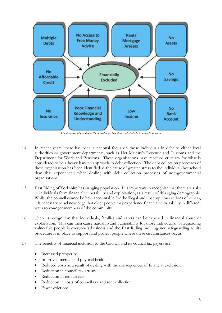

The diagram above shows the multiple factors that contribute to financial exclusion

- 1.4 In recent years, there has been a national focus on those individuals in debt to either local authorities or government departments, such as Her Majesty's Revenue and Customs and the Department for Work and Pensions. These organisations have received criticism for what is considered to be a heavy handed approach to debt collection. The debt collection processes of these organisation has been identified as the cause of greater stress to the individual/household than that experienced when dealing with debt collection processes of non-governmental organisations.
- 1.5 East Riding of Yorkshire has an aging population. It is important to recognise that there are risks to individuals from financial vulnerability and exploitation, as a result of this aging demographic. Whilst the council cannot be held accountable for the illegal and unscrupulous actions of others, it is necessary to acknowledge that older people may experience financial vulnerability in different ways to younger members of the community.
- 1.6 There is recognition that individuals, families and carers can be exposed to financial abuse or exploitation. This can then cause hardship and vulnerability for those individuals. Safeguarding vulnerable people is everyone's business and the East Riding multi agency safeguarding adults procedure is in place to support and protect people where these circumstances occur.
- 1.7 The benefits of financial inclusion to the Council and its council tax payers are:
	- Increased prosperity
	- Improved mental and physical health
	- Reduced costs as a result of dealing with the consequences of financial exclusion
	- Reduction in council tax arrears
	- Reduction in rent arrears
	- Reduction in costs of council tax and rent collection
	- Fewer evictions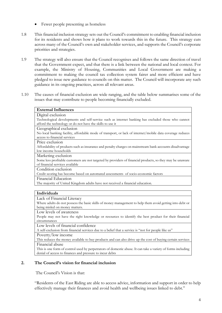- Fewer people presenting as homeless
- 1.8 This financial inclusion strategy sets out the Council's commitment to enabling financial inclusion for its residents and shows how it plans to work towards this in the future. This strategy cuts across many of the Council's own and stakeholder services, and supports the Council's corporate priorities and strategies.
- 1.9 The strategy will also ensure that the Council recognises and follows the same direction of travel that the Government expect, and that there is a link between the national and local context. For example, the Ministry of Housing, Communities and Local Government are making a commitment to making the council tax collection system fairer and more efficient and have pledged to issue new guidance to councils on this matter. The Council will incorporate any such guidance in its ongoing practices, across all relevant areas.
- 1.10 The causes of financial exclusion are wide ranging, and the table below summarises some of the issues that may contribute to people becoming financially excluded.

|                 | <b>External Influences</b>                                                                                                                    |
|-----------------|-----------------------------------------------------------------------------------------------------------------------------------------------|
|                 | Digital exclusion<br>Technological developments and self-service such as internet banking has excluded those who cannot                       |
|                 | afford the technology or do not have the skills to use it                                                                                     |
|                 | Geographical exclusion                                                                                                                        |
|                 | No local banking facility, affordable mode of transport, or lack of internet/mobile data coverage reduces                                     |
|                 | access to financial services                                                                                                                  |
| Price exclusion |                                                                                                                                               |
|                 | Affordability of products such as insurance and penalty charges on mainstream bank accounts disadvantage                                      |
|                 | low income households                                                                                                                         |
|                 | Marketing exclusion                                                                                                                           |
|                 | Some less profitable customers are not targeted by providers of financial products, so they may be unaware<br>of financial services available |
|                 | Condition exclusion                                                                                                                           |
|                 | Credit scoring has become based on automated assessments of socio-economic factors                                                            |
|                 | Financial Education                                                                                                                           |
|                 | The majority of United Kingdom adults have not received a financial education.                                                                |
|                 |                                                                                                                                               |
| Individuals     |                                                                                                                                               |
|                 | Lack of Financial Literacy                                                                                                                    |
|                 | Where adults do not possess the basic skills of money management to help them avoid getting into debt or                                      |
|                 | being misled on money matters.                                                                                                                |
|                 | Low levels of awareness                                                                                                                       |
|                 | People may not have the right knowledge or resources to identify the best product for their financial                                         |
| circumstances   |                                                                                                                                               |
|                 | Low levels of financial confidence                                                                                                            |
|                 | A self-exclusion from financial services due to a belief that a service is "not for people like us"                                           |
|                 | Poverty/low income                                                                                                                            |
|                 | This reduces the money available to buy products and can also drive up the cost of buying certain services                                    |
|                 | Financial abuse                                                                                                                               |
|                 |                                                                                                                                               |
|                 | This is one form of control used by perpetrators of domestic abuse. It can take a variety of forms including                                  |

The Council's Vision is that:

"Residents of the East Riding are able to access advice, information and support in order to help effectively manage their finances and avoid health and wellbeing issues linked to debt."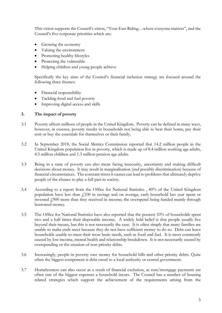This vision supports the Council's vision, "Your East Riding…where everyone matters", and the Council's five corporate priorities which are:

- Growing the economy
- Valuing the environment
- Promoting healthy lifestyles
- Protecting the vulnerable
- Helping children and young people achieve

Specifically the key aims of the Council's financial inclusion strategy are focused around the following three themes:

- Financial responsibility
- Tackling food and fuel poverty
- Improving digital access and skills

# 3. The impact of poverty

- 3.1 Poverty affects millions of people in the United Kingdom. Poverty can be defined in many ways, however, in essence, poverty results in households not being able to heat their home, pay their rent or buy the essentials for themselves or their family.
- 3.2 In September 2018, the Social Metrics Commission reported that 14.2 million people in the United Kingdom population live in poverty, which is made up of 8.4 million working age adults, 4.5 million children and 1.3 million pension age adults.
- 3.3 Being in a state of poverty can also mean facing insecurity, uncertainty and making difficult decisions about money. It may result in marginalisation (and possibly discrimination) because of financial circumstances. The constant stress it causes can lead to problems that ultimately deprive people of the chance to play a full part in society.
- 3.4 According to a report from the Office for National Statistics , 40% of the United Kingdom population have less than  $\ell$ 100 in savings and on average, each household last year spent or invested  $f_{1}$ 900 more than they received in income; the overspend being funded mainly through borrowed money.
- 3.5 The Office for National Statistics have also reported that the poorest 10% of households spent two and a half times their disposable income. A widely held belief is that people usually live beyond their means, but this is not necessarily the case. It is often simply that many families are unable to make ends meet because they do not have sufficient money to do so. Debt can leave households unable to meet their most basic needs, such as food and fuel. It is most commonly caused by low income, mental health and relationship breakdown. It is not necessarily caused by overspending or the creation of non-priority debts.
- 3.6 Increasingly, people in poverty owe money for household bills and other priority debts. Quite often the biggest component is debt owed to a local authority or central government.
- 3.7 Homelessness can also occur as a result of financial exclusion, as rent/mortgage payments are often one of the biggest expenses a household incurs. The Council has a number of housing related strategies which support the achievement of the requirements arising from the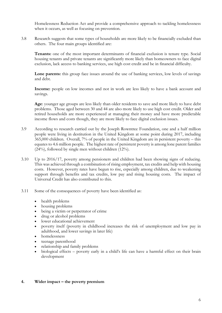Homelessness Reduction Act and provide a comprehensive approach to tackling homelessness when it occurs, as well as focusing on prevention.

3.8 Research suggests that some types of households are more likely to be financially excluded than others. The four main groups identified are:

Tenants: one of the most important determinants of financial exclusion is tenure type. Social housing tenants and private tenants are significantly more likely than homeowners to face digital exclusion, lack access to banking services, use high cost credit and be in financial difficulty.

Lone parents: this group face issues around the use of banking services, low levels of savings and debt.

Income: people on low incomes and not in work are less likely to have a bank account and savings.

Age: younger age groups are less likely than older residents to save and more likely to have debt problems. Those aged between 30 and 44 are also more likely to use high cost credit. Older and retired households are more experienced at managing their money and have more predictable income flows and costs though, they are more likely to face digital exclusion issues.

- 3.9 According to research carried out by the Joseph Rowntree Foundation, one and a half million people were living in destitution in the United Kingdom at some point during 2017, including 365,000 children. Overall, 7% of people in the United Kingdom are in persistent poverty – this equates to 4.6 million people. The highest rate of persistent poverty is among lone parent families (24%), followed by single men without children (12%).
- 3.10 Up to 2016/17, poverty among pensioners and children had been showing signs of reducing. This was achieved through a combination of rising employment, tax credits and help with housing costs. However, poverty rates have begun to rise, especially among children, due to weakening support through benefits and tax credits, low pay and rising housing costs. The impact of Universal Credit has also contributed to this.
- 3.11 Some of the consequences of poverty have been identified as:
	- health problems
	- housing problems
	- being a victim or perpetrator of crime
	- drug or alcohol problems
	- lower educational achievement
	- poverty itself (poverty in childhood increases the risk of unemployment and low pay in adulthood, and lower savings in later life)
	- homelessness
	- teenage parenthood
	- relationship and family problems
	- biological effects poverty early in a child's life can have a harmful effect on their brain development

## 4. Wider impact – the poverty premium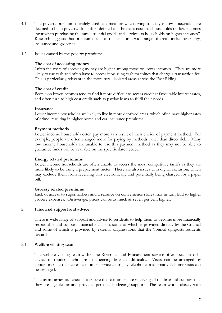- 4.1 The poverty premium is widely used as a measure when trying to analyse how households are deemed to be in poverty. It is often defined as "the extra cost that households on low incomes incur when purchasing the same essential goods and services as households on higher incomes". Research suggests that premiums such as this exist in a wide range of areas, including energy, insurance and groceries.
- 4.2 Issues caused by the poverty premium:

#### The cost of accessing money

Often the costs of accessing money are higher among those on lower incomes. They are more likely to use cash and often have to access it by using cash machines that charge a transaction fee. This is particularly relevant in the more rural, isolated areas across the East Riding.

#### The cost of credit

People on lower incomes tend to find it more difficult to access credit at favourable interest rates, and often turn to high cost credit such as payday loans to fulfil their needs.

#### Insurance

Lower income households are likely to live in more deprived areas, which often have higher rates of crime, resulting in higher home and car insurance premiums.

#### Payment methods

Lower income households often pay more as a result of their choice of payment method. For example, people are often charged more for paying by methods other than direct debit. Many low income households are unable to use this payment method as they may not be able to guarantee funds will be available on the specific date needed.

## Energy related premiums

 Lower income households are often unable to access the most competitive tariffs as they are more likely to be using a prepayment meter. There are also issues with digital exclusion, which may exclude them from receiving bills electronically and potentially being charged for a paper bill.

## Grocery related premiums

Lack of access to supermarkets and a reliance on convenience stores may in turn lead to higher grocery expenses. On average, prices can be as much as seven per cent higher.

#### 5. Financial support and advice

There is wide range of support and advice to residents to help them to become more financially responsible and support financial inclusion, some of which is provided directly by the Council and some of which is provided by external organisations that the Council signposts residents towards.

## 5.1 Welfare visiting team

The welfare visiting team within the Revenues and Procurement service offer specialist debt advice to residents who are experiencing financial difficulty. Visits can be arranged by appointment at the nearest customer service centre, by telephone or alternatively home visits can be arranged.

The team carries out checks to ensure that customers are receiving all the financial support that they are eligible for and provides personal budgeting support. The team works closely with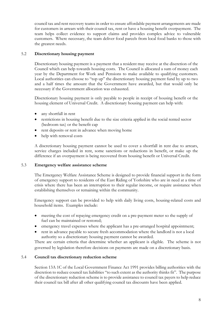council tax and rent recovery teams in order to ensure affordable payment arrangements are made for customers in arrears with their council tax, rent or have a housing benefit overpayment. The team helps collect evidence to support claims and provides complex advice to vulnerable customers. Where necessary, the team deliver food parcels from local food banks to those with the greatest needs.

# 5.2 Discretionary housing payment

Discretionary housing payment is a payment that a resident may receive at the discretion of the Council which can help towards housing costs. The Council is allocated a sum of money each year by the Department for Work and Pensions to make available to qualifying customers. Local authorities can choose to "top up" the discretionary housing payment fund by up to two and a half times the amount that the Government have awarded, but that would only be necessary if the Government allocation was exhausted.

Discretionary housing payment is only payable to people in receipt of housing benefit or the housing element of Universal Credit. A discretionary housing payment can help with:

- any shortfall in rent
- restrictions in housing benefit due to the size criteria applied in the social rented sector (bedroom tax) or the benefit cap
- rent deposits or rent in advance when moving home
- help with removal costs

A discretionary housing payment cannot be used to cover a shortfall in rent due to arrears, service charges included in rent, some sanctions or reductions in benefit, or make up the difference if an overpayment is being recovered from housing benefit or Universal Credit.

# 5.3 Emergency welfare assistance scheme

The Emergency Welfare Assistance Scheme is designed to provide financial support in the form of emergency support to residents of the East Riding of Yorkshire who are in need at a time of crisis where there has been an interruption to their regular income, or require assistance when establishing themselves or remaining within the community.

Emergency support can be provided to help with daily living costs, housing-related costs and household items. Examples include:

- meeting the cost of repaying emergency credit on a pre-payment meter so the supply of fuel can be maintained or restored;
- emergency travel expenses where the applicant has a pre-arranged hospital appointment;
- rent in advance payable to secure fresh accommodation where the landlord is not a local authority so a discretionary housing payment cannot be awarded.

There are certain criteria that determine whether an applicant is eligible. The scheme is not governed by legislation therefore decisions on payments are made on a discretionary basis.

# 5.4 Council tax discretionary reduction scheme

Section 13A 1C of the Local Government Finance Act 1991 provides billing authorities with the discretion to reduce council tax liabilities "to such extent as the authority thinks fit". The purpose of the discretionary reduction scheme is to provide assistance to council tax payers to help reduce their council tax bill after all other qualifying council tax discounts have been applied.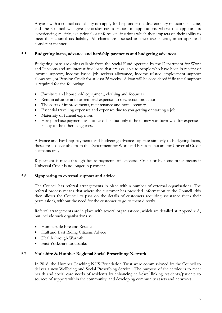Anyone with a council tax liability can apply for help under the discretionary reduction scheme, and the Council will give particular consideration to applications where the applicant is experiencing specific, exceptional or unforeseen situations which then impacts on their ability to meet their council tax liability. All claims are assessed on their own merits, in an open and consistent manner.

# 5.5 Budgeting loans, advance and hardship payments and budgeting advances

Budgeting loans are only available from the Social Fund operated by the Department for Work and Pensions and are interest free loans that are available to people who have been in receipt of income support, income based job seekers allowance, income related employment support allowance , or Pension Credit for at least 26 weeks. A loan will be considered if financial support is required for the following:

- Furniture and household equipment, clothing and footwear
- Rent in advance and/or removal expenses to new accommodation
- The costs of improvements, maintenance and home security
- Essential travelling expenses and expenses due to you getting or starting a job
- Maternity or funeral expenses
- Hire purchase payments and other debts, but only if the money was borrowed for expenses in any of the other categories.

Advance and hardship payments and budgeting advances operate similarly to budgeting loans, these are also available from the Department for Work and Pensions but are for Universal Credit claimants only

Repayment is made through future payments of Universal Credit or by some other means if Universal Credit is no longer in payment.

## 5.6 Signposting to external support and advice

The Council has referral arrangements in place with a number of external organisations. The referral process means that where the customer has provided information to the Council, this then allows the Council to pass on the details of customers requiring assistance (with their permission), without the need for the customer to go to them directly.

Referral arrangements are in place with several organisations, which are detailed at Appendix A, but include such organisations as:

- **•** Humberside Fire and Rescue
- Hull and East Riding Citizens Advice
- Health through Warmth
- East Yorkshire foodbanks

## 5.7 Yorkshire & Humber Regional Social Prescribing Network

In 2018, the Humber Teaching NHS Foundation Trust were commissioned by the Council to deliver a new Wellbeing and Social Prescribing Service. The purpose of the service is to meet health and social care needs of residents by enhancing self-care, linking residents/patients to sources of support within the community, and developing community assets and networks.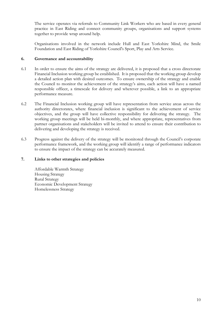The service operates via referrals to Community Link Workers who are based in every general practice in East Riding and connect community groups, organisations and support systems together to provide wrap around help.

Organisations involved in the network include Hull and East Yorkshire Mind, the Smile Foundation and East Riding of Yorkshire Council's Sport, Play and Arts Service.

## 6. Governance and accountability

- 6.1 In order to ensure the aims of the strategy are delivered, it is proposed that a cross directorate Financial Inclusion working group be established. It is proposed that the working group develop a detailed action plan with desired outcomes. To ensure ownership of the strategy and enable the Council to monitor the achievement of the strategy's aims, each action will have a named responsible officer, a timescale for delivery and wherever possible, a link to an appropriate performance measure.
- 6.2 The Financial Inclusion working group will have representation from service areas across the authority directorates, where financial inclusion is significant to the achievement of service objectives, and the group will have collective responsibility for delivering the strategy. The working group meetings will be held bi-monthly, and where appropriate, representatives from partner organisations and stakeholders will be invited to attend to ensure their contribution to delivering and developing the strategy is received.
- 6.3 Progress against the delivery of the strategy will be monitored through the Council's corporate performance framework, and the working group will identify a range of performance indicators to ensure the impact of the strategy can be accurately measured.

## 7. Links to other strategies and policies

Affordable Warmth Strategy Housing Strategy Rural Strategy Economic Development Strategy Homelessness Strategy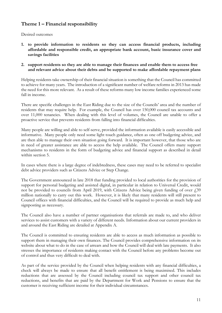# Theme 1 – Financial responsibility

Desired outcomes

- 1. to provide information to residents so they can access financial products, including affordable and responsible credit, an appropriate bank account, basic insurance cover and savings facilities
- 2. support residents so they are able to manage their finances and enable them to access free and relevant advice about their debts and be supported to make affordable repayment plans

Helping residents take ownership of their financial situation is something that the Council has committed to achieve for many years. The introduction of a significant number of welfare reforms in 2013 has made the need for this more relevant. As a result of these reforms many low income families experienced some fall in income.

There are specific challenges in the East Riding due to the size of the Councils' area and the number of residents that may require help. For example, the Council has over 150,000 council tax accounts and over 11,000 tenancies. When dealing with this level of volumes, the Council are unable to offer a proactive service that prevents residents from falling into financial difficulties.

Many people are willing and able to self-serve, provided the information available is easily accessible and informative. Many people only need some light touch guidance, often as one off budgeting advice, and are then able to manage their own situation going forward. It is important however, that those who are in need of greater assistance are able to access the help available. The Council offers many support mechanisms to residents in the form of budgeting advice and financial support as described in detail within section 5.

In cases where there is a large degree of indebtedness, these cases may need to be referred to specialist debt advice providers such as Citizens Advice or Step Change.

The Government announced in late 2018 that funding provided to local authorities for the provision of support for personal budgeting and assisted digital, in particular in relation to Universal Credit, would not be provided to councils from April 2019, with Citizens Advice being given funding of over  $\dot{f}$ , 39 million nationally to carry out this work. However, it is likely that many residents will still present to Council offices with financial difficulties, and the Council will be required to provide as much help and signposting as necessary.

The Council also have a number of partner organisations that referrals are made to, and who deliver services to assist customers with a variety of different needs. Information about our current providers in and around the East Riding are detailed at Appendix A.

The Council is committed to ensuring residents are able to access as much information as possible to support them in managing their own finances. The Council provides comprehensive information on its website about what to do in the case of arrears and how the Council will deal with late payments. It also stresses the importance of residents making contact with the Council before any problems become out of control and thus very difficult to deal with.

As part of the service provided by the Council when helping residents with any financial difficulties, a check will always be made to ensure that all benefit entitlement is being maximised. This includes reductions that are assessed by the Council including council tax support and other council tax reductions, and benefits that are paid by the Department for Work and Pensions to ensure that the customer is receiving sufficient income for their individual circumstances.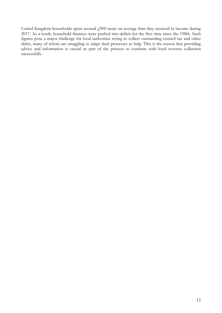United Kingdom households spent around  $f_{\text{200}}$  more on average than they received in income during 2017. As a result, household finances were pushed into deficit for the first time since the 1980s. Such figures pose a major challenge for local authorities trying to collect outstanding council tax and other debts, many of whom are struggling to adapt their processes to help. This is the reason that providing advice and information is crucial as part of the process to continue with local revenue collection successfully.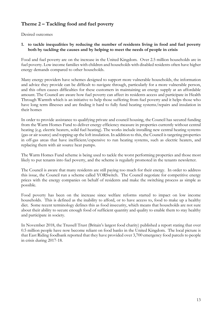# Theme 2 – Tackling food and fuel poverty

Desired outcomes

# 1. to tackle inequalities by reducing the number of residents living in food and fuel poverty both by tackling the causes and by helping to meet the needs of people in crisis

Food and fuel poverty are on the increase in the United Kingdom. Over 2.5 million households are in fuel poverty. Low income families with children and households with disabled residents often have higher energy demands compared to other households.

Many energy providers have schemes designed to support more vulnerable households, the information and advice they provide can be difficult to navigate through, particularly for a more vulnerable person, and this often causes difficulties for these customers in maintaining an energy supply at an affordable amount. The Council are aware how fuel poverty can affect its residents access and participate in Health Through Warmth which is an initiative to help those suffering from fuel poverty and it helps those who have long term illnesses and are finding it hard to fully fund heating systems/repairs and insulation in their homes

In order to provide assistance to qualifying private and council housing, the Council has secured funding from the Warm Homes Fund to deliver energy efficiency measure in properties currently without central heating (e.g. electric heaters, solid fuel heating). The works include installing new central heating systems (gas or air source) and topping up the loft insulation. In addition to this, the Council is targeting properties in off-gas areas that have inefficient/expensive to run heating systems, such as electric heaters, and replacing them with air source heat pumps.

The Warm Homes Fund scheme is being used to tackle the worst performing properties and those most likely to put tenants into fuel poverty, and the scheme is regularly promoted in the tenants newsletter.

The Council is aware that many residents are still paying too much for their energy. In order to address this issue, the Council run a scheme called YORSwitch. The Council negotiate for competitive energy prices with the energy companies on behalf of residents and make the switching process as simple as possible.

Food poverty has been on the increase since welfare reforms started to impact on low income households. This is defined as the inability to afford, or to have access to, food to make up a healthy diet. Some recent terminology defines this as food insecurity, which means that households are not sure about their ability to secure enough food of sufficient quantity and quality to enable them to stay healthy and participate in society.

In November 2018, the Trussell Trust (Britain's largest food charity) published a report stating that over 0.5 million people have now become reliant on food banks in the United Kingdom. The local picture is that East Riding foodbank reported that they have provided over 3,700 emergency food parcels to people in crisis during 2017-18.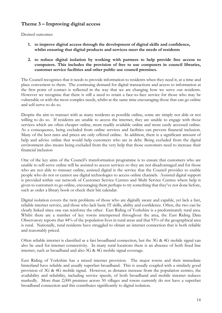# Theme 3 – Improving digital access

Desired outcomes

- 1. to improve digital access through the development of digital skills and confidence, whilst ensuring that digital products and services meet the needs of residents
- 2. to reduce digital isolation by working with partners to help provide free access to computers. This includes the provision of free to use computers in council libraries, customer service facilities and other public use council premises.

The Council recognises that it needs to provide information to residents when they need it, at a time and place convenient to them. The continuing demand for digital transactions and access to information at the first point of contact is reflected in the way that we are changing how we serve our residents. However we recognise that there is still a need to retain a face-to-face service for those who may be vulnerable or with the most complex needs, whilst at the same time encouraging those that can go online and self-serve to do so.

Despite the aim to transact with as many residents as possible online, some are simply not able or not willing to do so. If residents are unable to access the internet, they are unable to engage with those services which are often cheaper online, more readily available online and more easily accessed online. As a consequence, being excluded from online services and facilities can prevent financial inclusion. Many of the best rates and prices are only offered online. In addition, there is a significant amount of help and advice online that would help customers who are in debt. Being excluded from the digital environment also means being excluded from the very help that those customers need to increase their financial inclusion

One of the key aims of the Council's transformation programme is to ensure that customers who are unable to self-serve online will be assisted to access services so they are not disadvantaged and for those who are not able to transact online, assisted digital is the service that the Council provides to enable people who do not or cannot use digital technologies to access online channels. Assisted digital support is provided within our network of Customer Service Centres and Multi Service Centres where help is given to customers to go online, encouraging them perhaps to try something that they've not done before, such as order a library book or check their bin calendar.

Digital isolation covers the twin problems of those who are digitally aware and capable, yet lack a fast, reliable internet service, and those who lack basic IT skills, ability and confidence. Often, the two can be clearly linked since one can reinforce the other. East Riding of Yorkshire is a predominately rural area. Whilst there are a number of key towns interspersed throughout the area, the East Riding Data Observatory reports that 44% of the population lives in rural areas and that 93% of the geographical area is rural. Nationally, rural residents have struggled to obtain an internet connection that is both reliable and reasonably priced.

Often reliable internet is classified as a fast broadband connection, but the 3G & 4G mobile signal can also be used for internet connectivity. In many rural locations there is an absence of both fixed line internet, such as broadband and also 3G & 4G mobile signal coverage.

East Riding of Yorkshire has a mixed internet provision. The major towns and their immediate hinterland have reliable and usually superfast broadband. This is usually coupled with a similarly good provision of 3G & 4G mobile signal. However, as distance increase from the population centres, the availability and reliability, including service speeds, of both broadband and mobile internet reduces markedly. More than 2,000 premises across 50 villages and towns currently do not have a superfast broadband connection and this contributes significantly to digital isolation.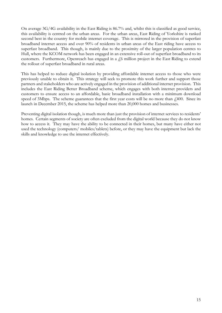On average 3G/4G availability in the East Riding is 86.7% and, whilst this is classified as good service, this availability is centred on the urban areas. For the urban areas, East Riding of Yorkshire is ranked second best in the country for mobile internet coverage. This is mirrored in the provision of superfast broadband internet access and over 90% of residents in urban areas of the East riding have access to superfast broadband. This though, is mainly due to the proximity of the larger population centres to Hull, where the KCOM network has been engaged in an extensive roll-out of superfast broadband to its customers. Furthermore, Openreach has engaged in a  $f_0$  million project in the East Riding to extend the rollout of superfast broadband in rural areas.

This has helped to reduce digital isolation by providing affordable internet access to those who were previously unable to obtain it. This strategy will seek to promote this work further and support those partners and stakeholders who are actively engaged in the provision of additional internet provision. This includes the East Riding Better Broadband scheme, which engages with both internet providers and customers to ensure access to an affordable, basic broadband installation with a minimum download speed of 3Mbps. The scheme guarantees that the first year costs will be no more than  $\ell$ 400. Since its launch in December 2015, the scheme has helped more than 20,000 homes and businesses.

Preventing digital isolation though, is much more than just the provision of internet services to residents' homes. Certain segments of society are often excluded from the digital world because they do not know how to access it. They may have the ability to be connected in their homes, but many have either not used the technology (computers/ mobiles/tablets) before, or they may have the equipment but lack the skills and knowledge to use the internet effectively.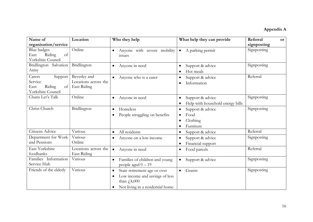# Appendix A

| Name of                                                                   | Location                                            | Who they help                                                                                                                                       | What help they can provide                                        | Referral<br><b>or</b> |
|---------------------------------------------------------------------------|-----------------------------------------------------|-----------------------------------------------------------------------------------------------------------------------------------------------------|-------------------------------------------------------------------|-----------------------|
| organisation/service                                                      |                                                     |                                                                                                                                                     |                                                                   | signposting           |
| <b>Blue badges</b><br>Riding<br>of<br>East<br>Yorkshire Council           | Online                                              | Anyone with severe mobility<br>issues                                                                                                               | A parking permit<br>$\bullet$                                     | Signposting           |
| Bridlington Salvation<br>Army                                             | Bridlington                                         | Anyone in need<br>$\bullet$                                                                                                                         | Support & advice<br>Hot meals                                     | Signposting           |
| Carers<br>Support<br>Service<br>Riding<br>of<br>East<br>Yorkshire Council | Beverley and<br>Locations across the<br>East Riding | Anyone who is a carer                                                                                                                               | Support & advice<br>$\bullet$<br>Information<br>$\bullet$         | Referral              |
| Charis Let's Talk                                                         | Online                                              | Anyone in need<br>$\bullet$                                                                                                                         | Support & advice<br>$\bullet$<br>Help with household energy bills | Signposting           |
| Christ Church                                                             | Bridlington                                         | Homeless<br>$\bullet$<br>People struggling on benefits                                                                                              | Support & advice<br>$\bullet$<br>Food<br>Clothing<br>Furniture    | Signposting           |
| Citizens Advice                                                           | Various                                             | All residents<br>$\bullet$                                                                                                                          | Support & advice<br>$\bullet$                                     | Referral              |
| Department for Work<br>and Pensions                                       | Various<br>Online                                   | Anyone on a low income<br>$\bullet$                                                                                                                 | Support & advice<br>$\bullet$<br>Financial support<br>$\bullet$   | Signposting           |
| East Yorkshire<br>foodbanks                                               | Locations across the<br>East Riding                 | Anyone in need<br>$\bullet$                                                                                                                         | Food parcels<br>$\bullet$                                         | Referral              |
| Families Information<br>Service Hub                                       | Various                                             | Families of children and young<br>٠<br>people aged $0 - 19$                                                                                         | Support & advice<br>$\bullet$                                     | Signposting           |
| Friends of the elderly                                                    | Various                                             | State retirement age or over<br>$\bullet$<br>Low income and savings of less<br>than $\text{\textsterling}4,000$<br>Not living in a residential home | Grants<br>$\bullet$                                               | Signposting           |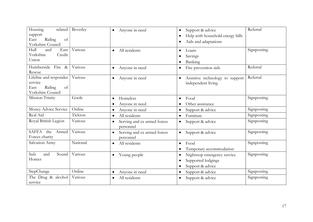| Housing<br>related<br>support<br>Riding<br>East<br>of<br>Yorkshire Council     | Beverley | Anyone in need<br>$\bullet$                           | Support & advice<br>Help with household energy bills<br>Aids and adaptations<br>$\bullet$ | Referral    |
|--------------------------------------------------------------------------------|----------|-------------------------------------------------------|-------------------------------------------------------------------------------------------|-------------|
| Hull<br>East<br>and<br>Yorkshire<br>Credit<br>Union                            | Various  | All residents<br>$\bullet$                            | Loans<br>Savings<br>Banking                                                               | Signposting |
| Humberside Fire &<br>Rescue                                                    | Various  | Anyone in need<br>$\bullet$                           | Fire prevention aids<br>$\bullet$                                                         | Referral    |
| Lifeline and responder<br>service<br>Riding<br>East<br>of<br>Yorkshire Council | Various  | Anyone in need<br>$\bullet$                           | Assistive technology to support<br>independent living                                     | Referral    |
| Mission Trinity                                                                | Goole    | Homeless<br>$\bullet$<br>Anyone in need               | Food<br>$\bullet$<br>Other assistance                                                     | Signposting |
| Money Advice Service                                                           | Online   | Anyone in need<br>$\bullet$                           | Support & advice<br>$\bullet$                                                             | Signposting |
| Real Aid                                                                       | Tickton  | All residents<br>$\bullet$                            | Furniture<br>$\bullet$                                                                    | Signposting |
| Royal British Legion                                                           | Various  | Serving and ex armed forces<br>$\bullet$<br>personnel | Support & advice<br>$\bullet$                                                             | Signposting |
| SAFFA the Armed<br>Forces charity                                              | Various  | Serving and ex armed forces<br>$\bullet$<br>personnel | Support & advice<br>$\bullet$                                                             | Signposting |
| Salvation Army                                                                 | National | All residents<br>$\bullet$                            | Food<br>$\bullet$<br>Temporary accommodation                                              | Signposting |
| Safe<br>Sound<br>and<br>Homes                                                  | Various  | Young people<br>$\bullet$                             | Nightstop emergency service<br>$\bullet$<br>Supported lodgings<br>Support & advice        | Signposting |
| StepChange                                                                     | Online   | Anyone in need<br>$\bullet$                           | Support & advice<br>$\bullet$                                                             | Signposting |
| The Drug & alcohol<br>service                                                  | Various  | All residents                                         | Support & advice                                                                          | Signposting |